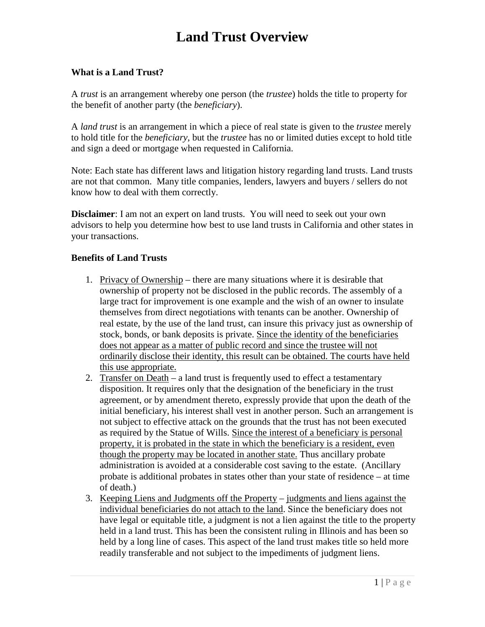# **Land Trust Overview**

### **What is a Land Trust?**

A *trust* is an arrangement whereby one person (the *trustee*) holds the title to property for the benefit of another party (the *beneficiary*).

A *land trust* is an arrangement in which a piece of real state is given to the *trustee* merely to hold title for the *beneficiary*, but the *trustee* has no or limited duties except to hold title and sign a deed or mortgage when requested in California.

Note: Each state has different laws and litigation history regarding land trusts. Land trusts are not that common. Many title companies, lenders, lawyers and buyers / sellers do not know how to deal with them correctly.

**Disclaimer**: I am not an expert on land trusts. You will need to seek out your own advisors to help you determine how best to use land trusts in California and other states in your transactions.

#### **Benefits of Land Trusts**

- 1. Privacy of Ownership there are many situations where it is desirable that ownership of property not be disclosed in the public records. The assembly of a large tract for improvement is one example and the wish of an owner to insulate themselves from direct negotiations with tenants can be another. Ownership of real estate, by the use of the land trust, can insure this privacy just as ownership of stock, bonds, or bank deposits is private. Since the identity of the beneficiaries does not appear as a matter of public record and since the trustee will not ordinarily disclose their identity, this result can be obtained. The courts have held this use appropriate.
- 2. Transfer on Death a land trust is frequently used to effect a testamentary disposition. It requires only that the designation of the beneficiary in the trust agreement, or by amendment thereto, expressly provide that upon the death of the initial beneficiary, his interest shall vest in another person. Such an arrangement is not subject to effective attack on the grounds that the trust has not been executed as required by the Statue of Wills. Since the interest of a beneficiary is personal property, it is probated in the state in which the beneficiary is a resident, even though the property may be located in another state. Thus ancillary probate administration is avoided at a considerable cost saving to the estate. (Ancillary probate is additional probates in states other than your state of residence – at time of death.)
- 3. Keeping Liens and Judgments off the Property judgments and liens against the individual beneficiaries do not attach to the land. Since the beneficiary does not have legal or equitable title, a judgment is not a lien against the title to the property held in a land trust. This has been the consistent ruling in Illinois and has been so held by a long line of cases. This aspect of the land trust makes title so held more readily transferable and not subject to the impediments of judgment liens.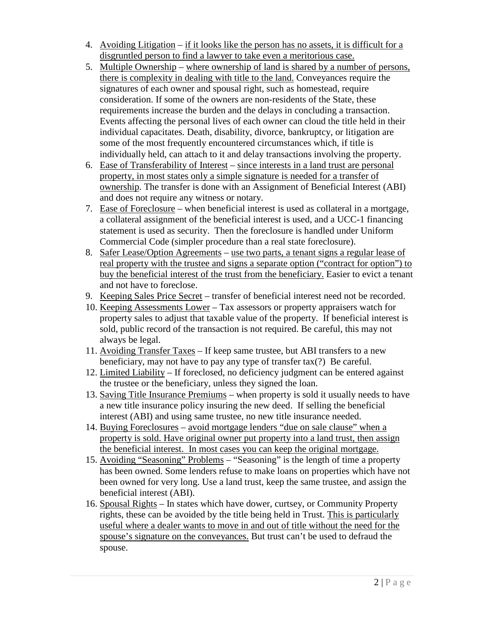- 4. Avoiding Litigation if it looks like the person has no assets, it is difficult for a disgruntled person to find a lawyer to take even a meritorious case.
- 5. Multiple Ownership where ownership of land is shared by a number of persons, there is complexity in dealing with title to the land. Conveyances require the signatures of each owner and spousal right, such as homestead, require consideration. If some of the owners are non-residents of the State, these requirements increase the burden and the delays in concluding a transaction. Events affecting the personal lives of each owner can cloud the title held in their individual capacitates. Death, disability, divorce, bankruptcy, or litigation are some of the most frequently encountered circumstances which, if title is individually held, can attach to it and delay transactions involving the property.
- 6. Ease of Transferability of Interest since interests in a land trust are personal property, in most states only a simple signature is needed for a transfer of ownership. The transfer is done with an Assignment of Beneficial Interest (ABI) and does not require any witness or notary.
- 7. Ease of Foreclosure when beneficial interest is used as collateral in a mortgage, a collateral assignment of the beneficial interest is used, and a UCC-1 financing statement is used as security. Then the foreclosure is handled under Uniform Commercial Code (simpler procedure than a real state foreclosure).
- 8. Safer Lease/Option Agreements use two parts, a tenant signs a regular lease of real property with the trustee and signs a separate option ("contract for option") to buy the beneficial interest of the trust from the beneficiary. Easier to evict a tenant and not have to foreclose.
- 9. Keeping Sales Price Secret transfer of beneficial interest need not be recorded.
- 10. Keeping Assessments Lower Tax assessors or property appraisers watch for property sales to adjust that taxable value of the property. If beneficial interest is sold, public record of the transaction is not required. Be careful, this may not always be legal.
- 11. Avoiding Transfer Taxes If keep same trustee, but ABI transfers to a new beneficiary, may not have to pay any type of transfer tax(?) Be careful.
- 12. Limited Liability If foreclosed, no deficiency judgment can be entered against the trustee or the beneficiary, unless they signed the loan.
- 13. Saving Title Insurance Premiums when property is sold it usually needs to have a new title insurance policy insuring the new deed. If selling the beneficial interest (ABI) and using same trustee, no new title insurance needed.
- 14. Buying Foreclosures avoid mortgage lenders "due on sale clause" when a property is sold. Have original owner put property into a land trust, then assign the beneficial interest. In most cases you can keep the original mortgage.
- 15. Avoiding "Seasoning" Problems "Seasoning" is the length of time a property has been owned. Some lenders refuse to make loans on properties which have not been owned for very long. Use a land trust, keep the same trustee, and assign the beneficial interest (ABI).
- 16. Spousal Rights In states which have dower, curtsey, or Community Property rights, these can be avoided by the title being held in Trust. This is particularly useful where a dealer wants to move in and out of title without the need for the spouse's signature on the conveyances. But trust can't be used to defraud the spouse.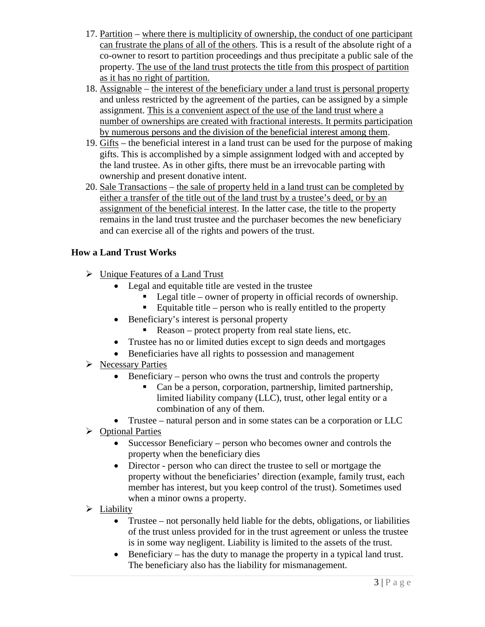- 17. Partition where there is multiplicity of ownership, the conduct of one participant can frustrate the plans of all of the others. This is a result of the absolute right of a co-owner to resort to partition proceedings and thus precipitate a public sale of the property. The use of the land trust protects the title from this prospect of partition as it has no right of partition.
- 18. Assignable the interest of the beneficiary under a land trust is personal property and unless restricted by the agreement of the parties, can be assigned by a simple assignment. This is a convenient aspect of the use of the land trust where a number of ownerships are created with fractional interests. It permits participation by numerous persons and the division of the beneficial interest among them.
- 19. Gifts the beneficial interest in a land trust can be used for the purpose of making gifts. This is accomplished by a simple assignment lodged with and accepted by the land trustee. As in other gifts, there must be an irrevocable parting with ownership and present donative intent.
- 20. Sale Transactions the sale of property held in a land trust can be completed by either a transfer of the title out of the land trust by a trustee's deed, or by an assignment of the beneficial interest. In the latter case, the title to the property remains in the land trust trustee and the purchaser becomes the new beneficiary and can exercise all of the rights and powers of the trust.

# **How a Land Trust Works**

- $\triangleright$  Unique Features of a Land Trust
	- Legal and equitable title are vested in the trustee
		- Legal title owner of property in official records of ownership.
		- Equitable title person who is really entitled to the property
	- Beneficiary's interest is personal property
		- Reason protect property from real state liens, etc.
	- Trustee has no or limited duties except to sign deeds and mortgages
	- Beneficiaries have all rights to possession and management
- $\triangleright$  Necessary Parties
	- $\bullet$  Beneficiary person who owns the trust and controls the property
		- Can be a person, corporation, partnership, limited partnership, limited liability company (LLC), trust, other legal entity or a combination of any of them.
	- Trustee natural person and in some states can be a corporation or LLC
- **►** Optional Parties
	- Successor Beneficiary person who becomes owner and controls the property when the beneficiary dies
	- Director person who can direct the trustee to sell or mortgage the property without the beneficiaries' direction (example, family trust, each member has interest, but you keep control of the trust). Sometimes used when a minor owns a property.
- $\blacktriangleright$  Liability
	- Trustee not personally held liable for the debts, obligations, or liabilities of the trust unless provided for in the trust agreement or unless the trustee is in some way negligent. Liability is limited to the assets of the trust.
	- Beneficiary has the duty to manage the property in a typical land trust. The beneficiary also has the liability for mismanagement.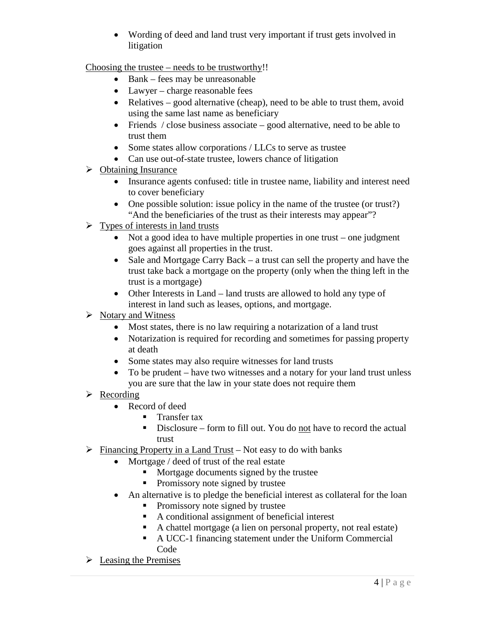Wording of deed and land trust very important if trust gets involved in litigation

Choosing the trustee – needs to be trustworthy!!

- $\bullet$  Bank fees may be unreasonable
- Lawyer charge reasonable fees
- Relatives good alternative (cheap), need to be able to trust them, avoid using the same last name as beneficiary
- Friends  $\ell$  close business associate good alternative, need to be able to trust them
- Some states allow corporations / LLCs to serve as trustee
- Can use out-of-state trustee, lowers chance of litigation
- $\triangleright$  Obtaining Insurance
	- Insurance agents confused: title in trustee name, liability and interest need to cover beneficiary
	- One possible solution: issue policy in the name of the trustee (or trust?) "And the beneficiaries of the trust as their interests may appear"?
- $\triangleright$  Types of interests in land trusts
	- Not a good idea to have multiple properties in one trust one judgment goes against all properties in the trust.
	- Sale and Mortgage Carry Back a trust can sell the property and have the trust take back a mortgage on the property (only when the thing left in the trust is a mortgage)
	- Other Interests in Land land trusts are allowed to hold any type of interest in land such as leases, options, and mortgage.
- $\triangleright$  Notary and Witness
	- Most states, there is no law requiring a notarization of a land trust
	- Notarization is required for recording and sometimes for passing property at death
	- Some states may also require witnesses for land trusts
	- To be prudent have two witnesses and a notary for your land trust unless you are sure that the law in your state does not require them
- $\triangleright$  Recording
	- Record of deed
		- **Transfer tax**
		- Disclosure form to fill out. You do not have to record the actual trust
- $\triangleright$  Financing Property in a Land Trust Not easy to do with banks
	- Mortgage / deed of trust of the real estate
		- Mortgage documents signed by the trustee
		- Promissory note signed by trustee
	- An alternative is to pledge the beneficial interest as collateral for the loan
		- Promissory note signed by trustee
		- A conditional assignment of beneficial interest
		- A chattel mortgage (a lien on personal property, not real estate)
		- A UCC-1 financing statement under the Uniform Commercial Code
- $\triangleright$  Leasing the Premises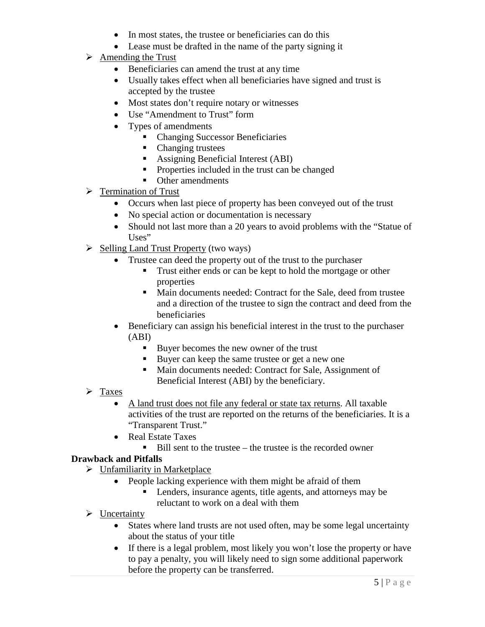- In most states, the trustee or beneficiaries can do this
- Lease must be drafted in the name of the party signing it
- $\triangleright$  Amending the Trust
	- Beneficiaries can amend the trust at any time
	- Usually takes effect when all beneficiaries have signed and trust is accepted by the trustee
	- Most states don't require notary or witnesses
	- Use "Amendment to Trust" form
	- Types of amendments
		- Changing Successor Beneficiaries
		- Changing trustees
		- Assigning Beneficial Interest (ABI)
		- **Properties included in the trust can be changed**
		- **•** Other amendments
- $\triangleright$  Termination of Trust
	- Occurs when last piece of property has been conveyed out of the trust
	- No special action or documentation is necessary
	- Should not last more than a 20 years to avoid problems with the "Statue of Uses"
- $\triangleright$  Selling Land Trust Property (two ways)
	- Trustee can deed the property out of the trust to the purchaser
		- Trust either ends or can be kept to hold the mortgage or other properties
		- Main documents needed: Contract for the Sale, deed from trustee and a direction of the trustee to sign the contract and deed from the beneficiaries
	- Beneficiary can assign his beneficial interest in the trust to the purchaser (ABI)
		- Buyer becomes the new owner of the trust
		- Buyer can keep the same trustee or get a new one
		- Main documents needed: Contract for Sale, Assignment of Beneficial Interest (ABI) by the beneficiary.
- $\triangleright$  Taxes
	- A land trust does not file any federal or state tax returns. All taxable activities of the trust are reported on the returns of the beneficiaries. It is a "Transparent Trust."
	- Real Estate Taxes
		- $\blacksquare$  Bill sent to the trustee the trustee is the recorded owner

## **Drawback and Pitfalls**

- $\triangleright$  Unfamiliarity in Marketplace
	- People lacking experience with them might be afraid of them
		- Lenders, insurance agents, title agents, and attorneys may be reluctant to work on a deal with them
- $\triangleright$  Uncertainty
	- States where land trusts are not used often, may be some legal uncertainty about the status of your title
	- If there is a legal problem, most likely you won't lose the property or have to pay a penalty, you will likely need to sign some additional paperwork before the property can be transferred.